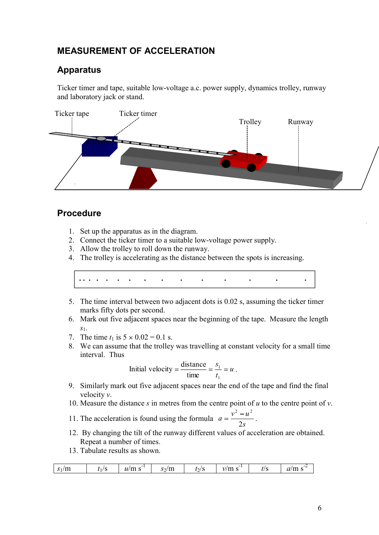# MEASUREMENT OF ACCELERATION

## Apparatus

Ticker timer and tape, suitable low-voltage a.c. power supply, dynamics trolley, runway and laboratory jack or stand.



## Procedure

- 1. Set up the apparatus as in the diagram.
- 2. Connect the ticker timer to a suitable low-voltage power supply.
- 3. Allow the trolley to roll down the runway.
- 4. The trolley is accelerating as the distance between the spots is increasing.

. . . . . . . . . . . . . . .

- 5. The time interval between two adjacent dots is 0.02 s, assuming the ticker timer marks fifty dots per second.
- 6. Mark out five adjacent spaces near the beginning of the tape. Measure the length
- $s_1$ .<br>7. The time  $t_1$  is  $5 \times 0.02 = 0.1$  s.
- 8. We can assume that the trolley was travelling at constant velocity for a small time interval. Thus

Initial velocity = 
$$
\frac{\text{distance}}{\text{time}} = \frac{s_1}{t_1} = u
$$
.

- 9. Similarly mark out five adjacent spaces near the end of the tape and find the final
- 
- velocity *v*.<br>10. Measure the distance *s* in metres from the centre point of *u* to the centre point of *v*.<br>11. The acceleration is found using the formula  $a = \frac{v^2 u^2}{2}$ . s<sup>s</sup>  $a = \frac{v^2 - u^2}{2}$ .  $2s$ 2  $\omega^2$ 11. The acceleration is found using the formula  $a = \frac{v-a}{2s}$ .<br>12. By changing the tilt of the runway different values of acceleration are obtained.
- Repeat a number of times.
- 13. Tabulate results as shown.

|  | $S_1/m$ |  | $\overline{\phantom{a}}$<br>$u_{\scriptscriptstyle I}$<br>ш э | $s_2/m$ | l2l | $v/m$ .<br>-<br>. | t/S | $\sim$<br>-<br>ТH<br>$\boldsymbol{\mathcal{U}}$ |
|--|---------|--|---------------------------------------------------------------|---------|-----|-------------------|-----|-------------------------------------------------|
|--|---------|--|---------------------------------------------------------------|---------|-----|-------------------|-----|-------------------------------------------------|